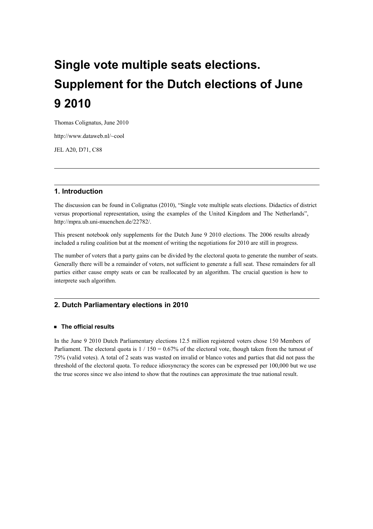# Single vote multiple seats elections. Supplement for the Dutch elections of June 9 2010

Thomas Colignatus, June 2010

http://www.dataweb.nl/~cool

JEL A20, D71, C88

# 1. Introduction

The discussion can be found in Colignatus (2010), "Single vote multiple seats elections. Didactics of district versus proportional representation, using the examples of the United Kingdom and The Netherlands", http://mpra.ub.uni-muenchen.de/22782/.

This present notebook only supplements for the Dutch June 9 2010 elections. The 2006 results already included a ruling coalition but at the moment of writing the negotiations for 2010 are still in progress.

The number of voters that a party gains can be divided by the electoral quota to generate the number of seats. Generally there will be a remainder of voters, not sufficient to generate a full seat. These remainders for all parties either cause empty seats or can be reallocated by an algorithm. The crucial question is how to interprete such algorithm.

# 2. Dutch Parliamentary elections in 2010

## **E** The official results

In the June 9 2010 Dutch Parliamentary elections 12.5 million registered voters chose 150 Members of Parliament. The electoral quota is  $1 / 150 = 0.67\%$  of the electoral vote, though taken from the turnout of 75% (valid votes). A total of 2 seats was wasted on invalid or blanco votes and parties that did not pass the threshold of the electoral quota. To reduce idiosyncracy the scores can be expressed per 100,000 but we use the true scores since we also intend to show that the routines can approximate the true national result.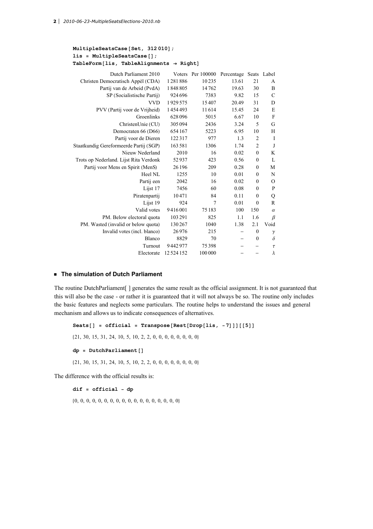#### $MultipleSeatsCase [Set, 312 010];$  $lis = MultipleSeatsCase[]$ ;  $TableForm[lis, TableAlignments \rightarrow Right]$

| Dutch Parliament 2010                  |          | Voters Per 100000 | Percentage Seats |                | Label         |
|----------------------------------------|----------|-------------------|------------------|----------------|---------------|
| Christen Democratisch Appèl (CDA)      | 1281886  | 10235             | 13.61            | 21             | A             |
| Partij van de Arbeid (PvdA)            | 1848805  | 14762             | 19.63            | 30             | B             |
| SP (Socialistische Partij)             | 924 696  | 7383              | 9.82             | 15             | $\mathcal{C}$ |
| <b>VVD</b>                             | 1929575  | 15407             | 20.49            | 31             | D             |
| PVV (Partij voor de Vrijheid)          | 1454493  | 11614             | 15.45            | 24             | E             |
| Groenlinks                             | 628 096  | 5015              | 6.67             | 10             | F             |
| ChristenUnie (CU)                      | 305 094  | 2436              | 3.24             | 5              | G             |
| Democraten 66 (D66)                    | 654167   | 5223              | 6.95             | 10             | H             |
| Partij voor de Dieren                  | 122317   | 977               | 1.3              | $\overline{2}$ | I             |
| Staatkundig Gereformeerde Partij (SGP) | 163 581  | 1306              | 1.74             | $\overline{2}$ | $_{\rm J}$    |
| Nieuw Nederland                        | 2010     | 16                | 0.02             | $\mathbf{0}$   | K             |
| Trots op Nederland. Lijst Rita Verdonk | 52937    | 423               | 0.56             | $\mathbf{0}$   | L             |
| Partij voor Mens en Spirit (MenS)      | 26 196   | 209               | 0.28             | $\mathbf{0}$   | M             |
| Heel NL                                | 1255     | 10                | 0.01             | $\mathbf{0}$   | N             |
| Partij een                             | 2042     | 16                | 0.02             | $\mathbf{0}$   | $\Omega$      |
| Lijst 17                               | 7456     | 60                | 0.08             | $\mathbf{0}$   | P             |
| Piratenpartij                          | 10471    | 84                | 0.11             | $\theta$       | Q             |
| Lijst 19                               | 924      | 7                 | 0.01             | $\mathbf{0}$   | $\mathbb{R}$  |
| Valid votes                            | 9416001  | 75183             | 100              | 150            | $\alpha$      |
| PM. Below electoral quota              | 103 291  | 825               | 1.1              | 1.6            | $\beta$       |
| PM. Wasted (invalid or below quota)    | 130 267  | 1040              | 1.38             | 2.1            | Void          |
| Invalid votes (incl. blanco)           | 26976    | 215               |                  | $\mathbf{0}$   | $\gamma$      |
| Blanco                                 | 8829     | 70                |                  | $\mathbf{0}$   | $\delta$      |
| Turnout                                | 9442977  | 75398             |                  |                | $\tau$        |
| Electorate                             | 12524152 | 100 000           |                  |                | λ             |

### **EXTERCH The simulation of Dutch Parliament**

The routine DutchParliament[ ] generates the same result as the official assignment. It is not guaranteed that this will also be the case - or rather it is guaranteed that it will not always be so. The routine only includes the basic features and neglects some particulars. The routine helps to understand the issues and general mechanism and allows us to indicate consequences of alternatives.

Seats $[]$  = official = Transpose[Rest[Drop[lis, -7]]][[5]]  ${21, 30, 15, 31, 24, 10, 5, 10, 2, 2, 0, 0, 0, 0, 0, 0, 0, 0}$  $dp = DutchParliament[]$ 821, 30, 15, 31, 24, 10, 5, 10, 2, 2, 0, 0, 0, 0, 0, 0, 0, 0<

The difference with the official results is:

dif = official − dp

80, 0, 0, 0, 0, 0, 0, 0, 0, 0, 0, 0, 0, 0, 0, 0, 0, 0<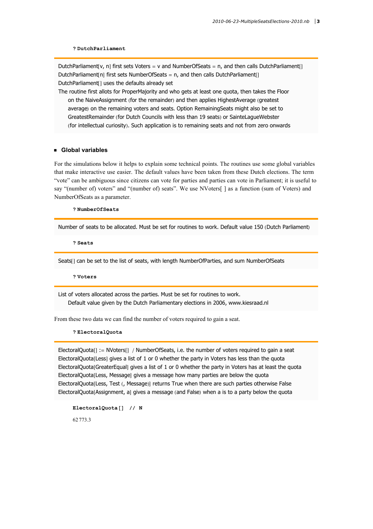#### ? DutchParliament

DutchParliament[v, n] first sets Voters = v and NumberOfSeats = n, and then calls DutchParliament[] DutchParliament[n] first sets NumberOfSeats = n, and then calls DutchParliament[] DutchParliament[] uses the defaults already set

The routine first allots for ProperMajority and who gets at least one quota, then takes the Floor on the NaiveAssignment (for the remainder) and then applies HighestAverage (greatest average) on the remaining voters and seats. Option RemainingSeats might also be set to GreatestRemainder (for Dutch Councils with less than 19 seats) or SainteLagueWebster (for intellectual curiosity). Such application is to remaining seats and not from zero onwards

#### ü Global variables

For the simulations below it helps to explain some technical points. The routines use some global variables that make interactive use easier. The default values have been taken from these Dutch elections. The term "vote" can be ambiguous since citizens can vote for parties and parties can vote in Parliament; it is useful to say "(number of) voters" and "(number of) seats". We use NVoters[ ] as a function (sum of Voters) and NumberOfSeats as a parameter.

? NumberOfSeats

Number of seats to be allocated. Must be set for routines to work. Default value 150 (Dutch Parliament)

? Seats

Seats[] can be set to the list of seats, with length NumberOfParties, and sum NumberOfSeats

? Voters

List of voters allocated across the parties. Must be set for routines to work. Default value given by the Dutch Parliamentary elections in 2006, www.kiesraad.nl

From these two data we can find the number of voters required to gain a seat.

#### ? ElectoralQuota

 $ElectronalQuota[] := NVoters[] / NumberOfSeats, i.e.$  the number of voters required to gain a seat ElectoralQuota[Less] gives a list of 1 or 0 whether the party in Voters has less than the quota ElectoralQuota[GreaterEqual] gives a list of 1 or 0 whether the party in Voters has at least the quota ElectoralQuota[Less, Message] gives a message how many parties are below the quota ElectoralQuota[Less, Test (, Message)] returns True when there are such parties otherwise False ElectoralQuota[Assignment, a] gives a message (and False) when a is to a party below the quota

```
ElectoralQuota[] // N
62 773.3
```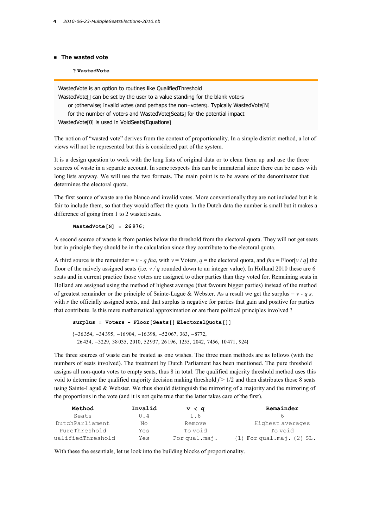#### **E** The wasted vote

#### ? WastedVote

WastedVote is an option to routines like QualifiedThreshold WastedVote<sub>[]</sub> can be set by the user to a value standing for the blank voters or (otherwise) invalid votes (and perhaps the non-voters). Typically WastedVote[N] for the number of voters and WastedVote[Seats] for the potential impact WastedVote[0] is used in VoidSeats[Equations]

The notion of "wasted vote" derives from the context of proportionality. In a simple district method, a lot of views will not be represented but this is considered part of the system.

It is a design question to work with the long lists of original data or to clean them up and use the three sources of waste in a separate account. In some respects this can be immaterial since there can be cases with long lists anyway. We will use the two formats. The main point is to be aware of the denominator that determines the electoral quota.

The first source of waste are the blanco and invalid votes. More conventionally they are not included but it is fair to include them, so that they would affect the quota. In the Dutch data the number is small but it makes a difference of going from 1 to 2 wasted seats.

#### WastedVote $[N] = 26976;$

A second source of waste is from parties below the threshold from the electoral quota. They will not get seats but in principle they should be in the calculation since they contribute to the electoral quota.

A third source is the remainder =  $v - q$  fina, with  $v = V$  oters, q = the electoral quota, and fina = Floor[v /q] the floor of the naively assigned seats (i.e.  $v/q$  rounded down to an integer value). In Holland 2010 these are 6 seats and in current practice those voters are assigned to other parties than they voted for. Remaining seats in Holland are assigned using the method of highest average (that favours bigger parties) instead of the method of greatest remainder or the principle of Sainte-Laguë & Webster. As a result we get the surplus =  $v - q s$ , with  $s$  the officially assigned seats, and that surplus is negative for parties that gain and positive for parties that contribute. Is this mere mathematical approximation or are there political principles involved ?

```
surplus = Voters - Floor[Seats[] ElectoralQuota[]]
```

```
\{-36\,354, -34\,395, -16\,904, -16\,398, -52\,067, 363, -8772,26 434, -3229, 38 035, 2010, 52 937, 26 196, 1255, 2042, 7456, 10 471, 924<
```
The three sources of waste can be treated as one wishes. The three main methods are as follows (with the numbers of seats involved). The treatment by Dutch Parliament has been mentioned. The pure threshold assigns all non-quota votes to empty seats, thus 8 in total. The qualified majority threshold method uses this void to determine the qualified majority decision making threshold  $f > 1/2$  and then distributes those 8 seats using Sainte-Laguë & Webster. We thus should distinguish the mirroring of a majority and the mirroring of the proportions in the vote (and it is not quite true that the latter takes care of the first).

| Method            | Invalid | v < q         | Remainder                     |
|-------------------|---------|---------------|-------------------------------|
| Seats             | 0.4     | 1.6           |                               |
| DutchParliament   | No      | Remove        | Highest averages              |
| PureThreshold     | Yes     | To void       | To void                       |
| ualifiedThreshold | Yes     | For qual.maj. | $(1)$ For qual.maj. $(2)$ SL. |

With these the essentials, let us look into the building blocks of proportionality.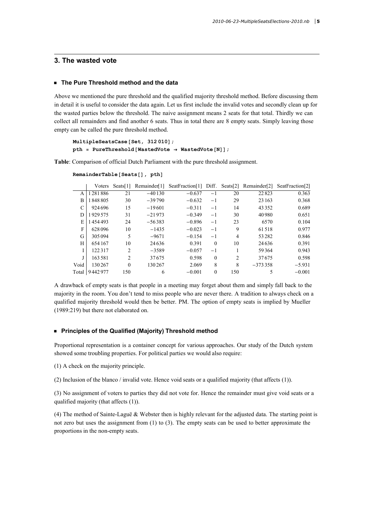## 3. The wasted vote

#### ■ The Pure Threshold method and the data

Above we mentioned the pure threshold and the qualified majority threshold method. Before discussing them in detail it is useful to consider the data again. Let us first include the invalid votes and secondly clean up for the wasted parties below the threshold. The naive assignment means 2 seats for that total. Thirdly we can collect all remainders and find another 6 seats. Thus in total there are 8 empty seats. Simply leaving those empty can be called the pure threshold method.

```
MultipleSeatsCase [Set, 312 010];
pth = PureThreshold [WastedVote \rightarrow WastedVote [N]];
```
Table: Comparison of official Dutch Parliament with the pure threshold assignment.

|       | Voters  | $S$ eats[1] | Remainder[1] | SeatFraction[1] Diff. |          |     | Seats[2] Remainder[2] | SeatFraction[2] |
|-------|---------|-------------|--------------|-----------------------|----------|-----|-----------------------|-----------------|
| A     | 1281886 | 21          | $-40130$     | $-0.637$              | $-1$     | 20  | 22823                 | 0.363           |
| B     | 1848805 | 30          | $-39790$     | $-0.632$              | $-1$     | 29  | 23 163                | 0.368           |
| C     | 924696  | 15          | $-19601$     | $-0.311$              | $-1$     | 14  | 43352                 | 0.689           |
| D     | 1929575 | 31          | $-21973$     | $-0.349$              | $-1$     | 30  | 40980                 | 0.651           |
| E     | 1454493 | 24          | $-56383$     | $-0.896$              | $-1$     | 23  | 6570                  | 0.104           |
| F     | 628096  | 10          | $-1435$      | $-0.023$              | $-1$     | 9   | 61518                 | 0.977           |
| G     | 305 094 | 5           | $-9671$      | $-0.154$              | $-1$     | 4   | 53282                 | 0.846           |
| Н     | 654167  | 10          | 24 6 36      | 0.391                 | $\theta$ | 10  | 24636                 | 0.391           |
|       | 122317  | 2           | $-3589$      | $-0.057$              | $-1$     |     | 59364                 | 0.943           |
|       | 163 581 | 2           | 37675        | 0.598                 | $\theta$ | 2   | 37675                 | 0.598           |
| Void  | 130267  | $\theta$    | 130267       | 2.069                 | 8        | 8   | $-3733358$            | $-5.931$        |
| Total | 9442977 | 150         | 6            | $-0.001$              | $\Omega$ | 150 |                       | $-0.001$        |

```
RemainderTable [Seats [], pth]
```
A drawback of empty seats is that people in a meeting may forget about them and simply fall back to the majority in the room. You don't tend to miss people who are never there. A tradition to always check on a qualified majority threshold would then be better. PM. The option of empty seats is implied by Mueller (1989:219) but there not elaborated on.

#### **EXPRINCIPLES OF the Qualified (Majority) Threshold method**

Proportional representation is a container concept for various approaches. Our study of the Dutch system showed some troubling properties. For political parties we would also require:

(1) A check on the majority principle.

(2) Inclusion of the blanco / invalid vote. Hence void seats or a qualified majority (that affects (1)).

(3) No assignment of voters to parties they did not vote for. Hence the remainder must give void seats or a qualified majority (that affects (1)).

(4) The method of Sainte-Laguë & Webster then is highly relevant for the adjusted data. The starting point is not zero but uses the assignment from (1) to (3). The empty seats can be used to better approximate the proportions in the non-empty seats.